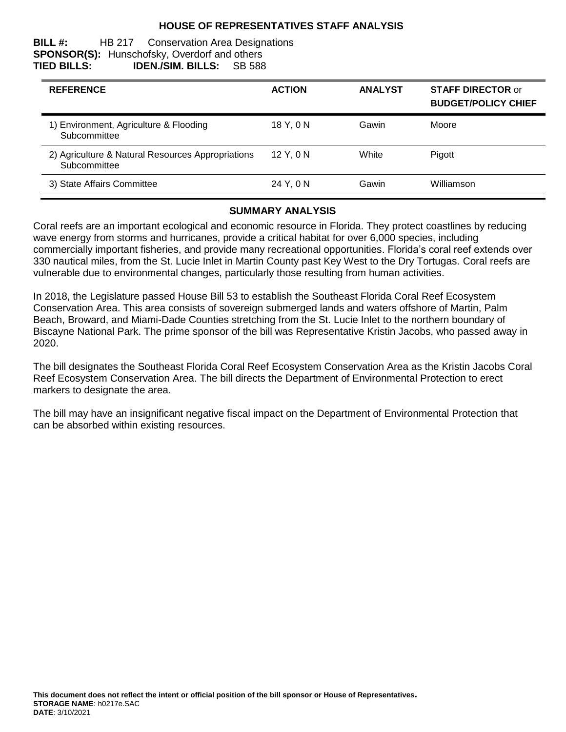## **HOUSE OF REPRESENTATIVES STAFF ANALYSIS**

#### **BILL #:** HB 217 Conservation Area Designations **SPONSOR(S):** Hunschofsky, Overdorf and others **TIED BILLS: IDEN./SIM. BILLS:** SB 588

| <b>REFERENCE</b>                                                  | <b>ACTION</b> | <b>ANALYST</b> | <b>STAFF DIRECTOR or</b><br><b>BUDGET/POLICY CHIEF</b> |
|-------------------------------------------------------------------|---------------|----------------|--------------------------------------------------------|
| 1) Environment, Agriculture & Flooding<br>Subcommittee            | 18 Y.ON       | Gawin          | Moore                                                  |
| 2) Agriculture & Natural Resources Appropriations<br>Subcommittee | 12Y.0N        | White          | Pigott                                                 |
| 3) State Affairs Committee                                        | 24 Y, 0 N     | Gawin          | Williamson                                             |

#### **SUMMARY ANALYSIS**

Coral reefs are an important ecological and economic resource in Florida. They protect coastlines by reducing wave energy from storms and hurricanes, provide a critical habitat for over 6,000 species, including commercially important fisheries, and provide many recreational opportunities. Florida's coral reef extends over 330 nautical miles, from the St. Lucie Inlet in Martin County past Key West to the Dry Tortugas. Coral reefs are vulnerable due to environmental changes, particularly those resulting from human activities.

In 2018, the Legislature passed House Bill 53 to establish the Southeast Florida Coral Reef Ecosystem Conservation Area. This area consists of sovereign submerged lands and waters offshore of Martin, Palm Beach, Broward, and Miami-Dade Counties stretching from the St. Lucie Inlet to the northern boundary of Biscayne National Park. The prime sponsor of the bill was Representative Kristin Jacobs, who passed away in 2020.

The bill designates the Southeast Florida Coral Reef Ecosystem Conservation Area as the Kristin Jacobs Coral Reef Ecosystem Conservation Area. The bill directs the Department of Environmental Protection to erect markers to designate the area.

The bill may have an insignificant negative fiscal impact on the Department of Environmental Protection that can be absorbed within existing resources.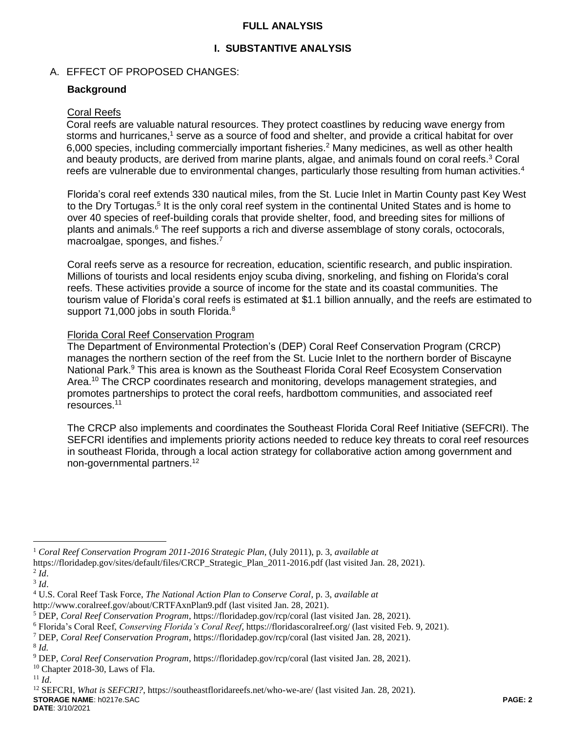## **FULL ANALYSIS**

# **I. SUBSTANTIVE ANALYSIS**

## A. EFFECT OF PROPOSED CHANGES:

## **Background**

#### Coral Reefs

Coral reefs are valuable natural resources. They protect coastlines by reducing wave energy from storms and hurricanes,<sup>1</sup> serve as a source of food and shelter, and provide a critical habitat for over 6,000 species, including commercially important fisheries.<sup>2</sup> Many medicines, as well as other health and beauty products, are derived from marine plants, algae, and animals found on coral reefs. <sup>3</sup> Coral reefs are vulnerable due to environmental changes, particularly those resulting from human activities.<sup>4</sup>

Florida's coral reef extends 330 nautical miles, from the St. Lucie Inlet in Martin County past Key West to the Dry Tortugas.<sup>5</sup> It is the only coral reef system in the continental United States and is home to over 40 species of reef-building corals that provide shelter, food, and breeding sites for millions of plants and animals.<sup>6</sup> The reef supports a rich and diverse assemblage of stony corals, octocorals, macroalgae, sponges, and fishes.<sup>7</sup>

Coral reefs serve as a resource for recreation, education, scientific research, and public inspiration. Millions of tourists and local residents enjoy scuba diving, snorkeling, and fishing on Florida's coral reefs. These activities provide a source of income for the state and its coastal communities. The tourism value of Florida's coral reefs is estimated at \$1.1 billion annually, and the reefs are estimated to support 71,000 jobs in south Florida.<sup>8</sup>

#### Florida Coral Reef Conservation Program

The Department of Environmental Protection's (DEP) Coral Reef Conservation Program (CRCP) manages the northern section of the reef from the St. Lucie Inlet to the northern border of Biscayne National Park.<sup>9</sup> This area is known as the Southeast Florida Coral Reef Ecosystem Conservation Area.<sup>10</sup> The CRCP coordinates research and monitoring, develops management strategies, and promotes partnerships to protect the coral reefs, hardbottom communities, and associated reef resources. 11

The CRCP also implements and coordinates the Southeast Florida Coral Reef Initiative (SEFCRI). The SEFCRI identifies and implements priority actions needed to reduce key threats to coral reef resources in southeast Florida, through a local action strategy for collaborative action among government and non-governmental partners.<sup>12</sup>

 $\overline{a}$ 

<sup>1</sup> *Coral Reef Conservation Program 2011-2016 Strategic Plan,* (July 2011), p. 3, *available at*

https://floridadep.gov/sites/default/files/CRCP\_Strategic\_Plan\_2011-2016.pdf (last visited Jan. 28, 2021).

<sup>2</sup> *Id*.

<sup>3</sup> *Id*.

<sup>4</sup> U.S. Coral Reef Task Force, *The National Action Plan to Conserve Coral*, p. 3, *available at*

http://www.coralreef.gov/about/CRTFAxnPlan9.pdf (last visited Jan. 28, 2021).

<sup>5</sup> DEP, *Coral Reef Conservation Program*, https://floridadep.gov/rcp/coral (last visited Jan. 28, 2021).

<sup>6</sup> Florida's Coral Reef, *Conserving Florida's Coral Reef*, https://floridascoralreef.org/ (last visited Feb. 9, 2021).

<sup>7</sup> DEP, *Coral Reef Conservation Program*, https://floridadep.gov/rcp/coral (last visited Jan. 28, 2021).

<sup>8</sup> *Id.* 

<sup>9</sup> DEP, *Coral Reef Conservation Program*, https://floridadep.gov/rcp/coral (last visited Jan. 28, 2021).

 $10$  Chapter 2018-30, Laws of Fla.

<sup>11</sup> *Id*.

**STORAGE NAME**: h0217e.SAC **PAGE: 2** <sup>12</sup> SEFCRI, *What is SEFCRI?*, https://southeastfloridareefs.net/who-we-are/ (last visited Jan. 28, 2021).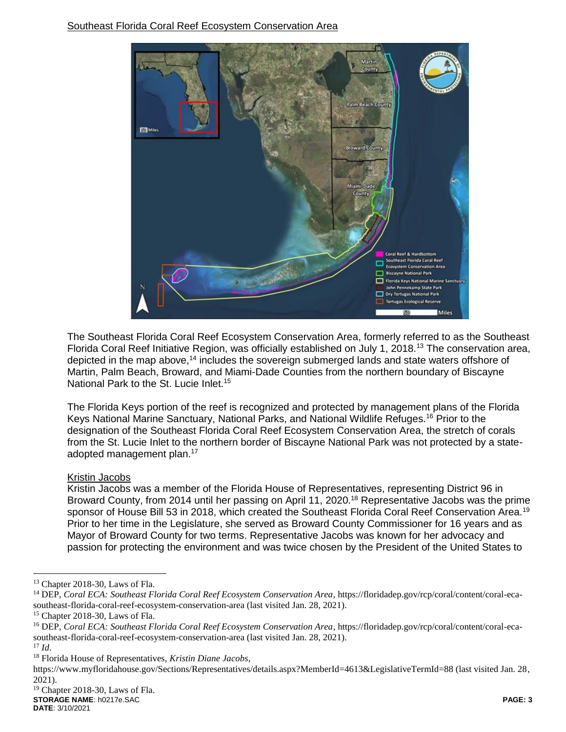

The Southeast Florida Coral Reef Ecosystem Conservation Area, formerly referred to as the Southeast Florida Coral Reef Initiative Region, was officially established on July 1, 2018.<sup>13</sup> The conservation area, depicted in the map above,<sup>14</sup> includes the sovereign submerged lands and state waters offshore of Martin, Palm Beach, Broward, and Miami-Dade Counties from the northern boundary of Biscayne National Park to the St. Lucie Inlet.<sup>15</sup>

The Florida Keys portion of the reef is recognized and protected by management plans of the Florida Keys National Marine Sanctuary, National Parks, and National Wildlife Refuges.<sup>16</sup> Prior to the designation of the Southeast Florida Coral Reef Ecosystem Conservation Area, the stretch of corals from the St. Lucie Inlet to the northern border of Biscayne National Park was not protected by a stateadopted management plan.<sup>17</sup>

## Kristin Jacobs

Kristin Jacobs was a member of the Florida House of Representatives, representing District 96 in Broward County, from 2014 until her passing on April 11, 2020.<sup>18</sup> Representative Jacobs was the prime sponsor of House Bill 53 in 2018, which created the Southeast Florida Coral Reef Conservation Area.<sup>19</sup> Prior to her time in the Legislature, she served as Broward County Commissioner for 16 years and as Mayor of Broward County for two terms. Representative Jacobs was known for her advocacy and passion for protecting the environment and was twice chosen by the President of the United States to

<sup>17</sup> *Id*.

 $\overline{a}$ 

<sup>&</sup>lt;sup>13</sup> Chapter 2018-30, Laws of Fla.

<sup>&</sup>lt;sup>14</sup> DEP, *Coral ECA: Southeast Florida Coral Reef Ecosystem Conservation Area*, https://floridadep.gov/rcp/coral/content/coral-ecasoutheast-florida-coral-reef-ecosystem-conservation-area (last visited Jan. 28, 2021).

<sup>15</sup> Chapter 2018-30, Laws of Fla.

<sup>16</sup> DEP, *Coral ECA: Southeast Florida Coral Reef Ecosystem Conservation Area*, https://floridadep.gov/rcp/coral/content/coral-ecasoutheast-florida-coral-reef-ecosystem-conservation-area (last visited Jan. 28, 2021).

<sup>18</sup> Florida House of Representatives, *Kristin Diane Jacobs*,

https://www.myfloridahouse.gov/Sections/Representatives/details.aspx?MemberId=4613&LegislativeTermId=88 (last visited Jan. 28, 2021).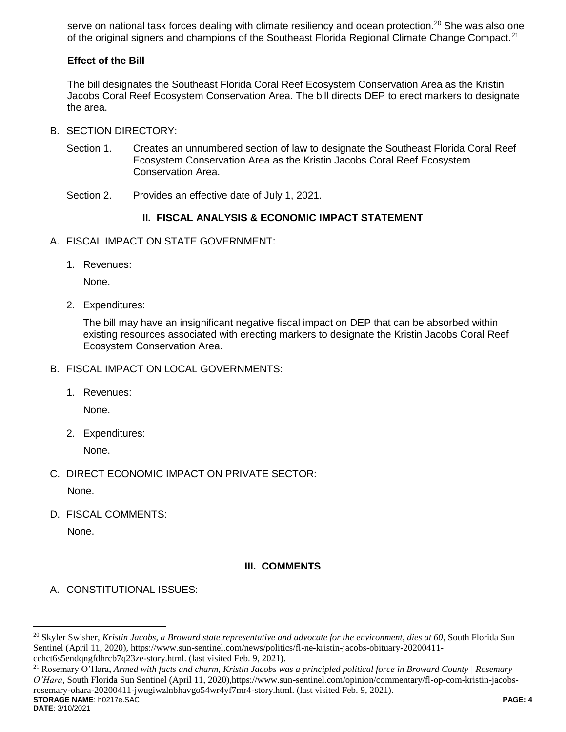serve on national task forces dealing with climate resiliency and ocean protection.<sup>20</sup> She was also one of the original signers and champions of the Southeast Florida Regional Climate Change Compact.<sup>21</sup>

# **Effect of the Bill**

The bill designates the Southeast Florida Coral Reef Ecosystem Conservation Area as the Kristin Jacobs Coral Reef Ecosystem Conservation Area. The bill directs DEP to erect markers to designate the area.

- B. SECTION DIRECTORY:
	- Section 1. Creates an unnumbered section of law to designate the Southeast Florida Coral Reef Ecosystem Conservation Area as the Kristin Jacobs Coral Reef Ecosystem Conservation Area.
	- Section 2. Provides an effective date of July 1, 2021.

# **II. FISCAL ANALYSIS & ECONOMIC IMPACT STATEMENT**

- A. FISCAL IMPACT ON STATE GOVERNMENT:
	- 1. Revenues:

None.

2. Expenditures:

The bill may have an insignificant negative fiscal impact on DEP that can be absorbed within existing resources associated with erecting markers to designate the Kristin Jacobs Coral Reef Ecosystem Conservation Area.

- B. FISCAL IMPACT ON LOCAL GOVERNMENTS:
	- 1. Revenues:

None.

2. Expenditures:

None.

C. DIRECT ECONOMIC IMPACT ON PRIVATE SECTOR:

None.

D. FISCAL COMMENTS:

None.

# **III. COMMENTS**

A. CONSTITUTIONAL ISSUES:

**STORAGE NAME**: h0217e.SAC **PAGE: 4** <sup>21</sup> Rosemary O'Hara, *Armed with facts and charm, Kristin Jacobs was a principled political force in Broward County | Rosemary O'Hara*, South Florida Sun Sentinel (April 11, 2020),https://www.sun-sentinel.com/opinion/commentary/fl-op-com-kristin-jacobsrosemary-ohara-20200411-jwugiwzlnbhavgo54wr4yf7mr4-story.html. (last visited Feb. 9, 2021).

 $\overline{a}$ 

<sup>20</sup> Skyler Swisher, *Kristin Jacobs, a Broward state representative and advocate for the environment, dies at 60*, South Florida Sun Sentinel (April 11, 2020), https://www.sun-sentinel.com/news/politics/fl-ne-kristin-jacobs-obituary-20200411 cchct6s5endqngfdhrcb7q23ze-story.html. (last visited Feb. 9, 2021).